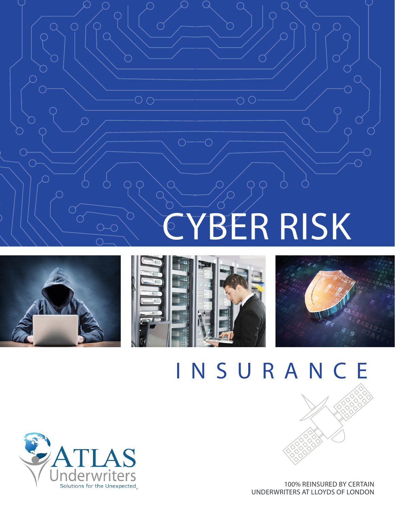# YBER RISK





OΟ



# INSURANCE



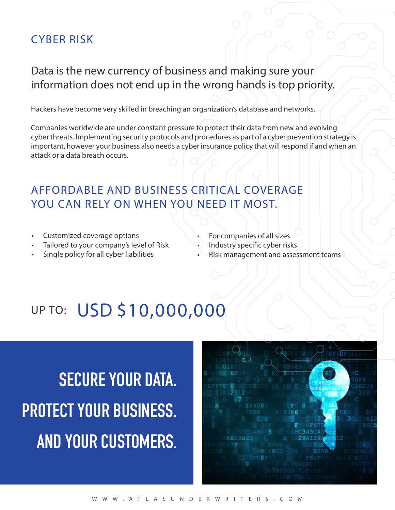#### CYBER RISK

#### Data is the new currency of business and making sure your information does not end up in the wrong hands is top priority.

Hackers have become very skilled in breaching an organization's database and networks.

Companies worldwide are under constant pressure to protect their data from new and evolving cyber threats. Implementing security protocols and procedures as part of a cyber prevention strategy is important, however your business also needs a cyber insurance policy that will respond if and when an attack or a data breach occurs.

### AFFORDABLE AND BUSINESS CRITICAL COVERAGE YOU CAN RELY ON WHEN YOU NEED IT MOST.

- Customized coverage options
- Tailored to your company's level of Risk
- Single policy for all cyber liabilities
- For companies of all sizes
- Industry specific cyber risks
- Risk management and assessment teams

## UP TO: USD \$10,000,000

**SECURE YOUR DATA. PROTECT YOUR BUSINESS. AND YOUR CUSTOMERS**.

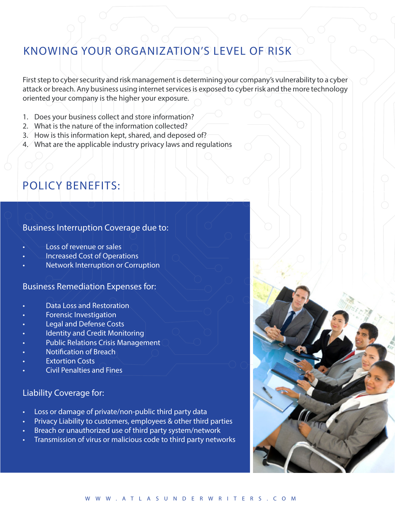#### KNOWING YOUR ORGANIZATION'S LEVEL OF RISK

First step to cyber security and risk management is determining your company's vulnerability to a cyber attack or breach. Any business using internet services is exposed to cyber risk and the more technology oriented your company is the higher your exposure.

- 1. Does your business collect and store information?
- 2. What is the nature of the information collected?
- 3. How is this information kept, shared, and deposed of?
- 4. What are the applicable industry privacy laws and regulations

#### POLICY BENEFITS:

#### Business Interruption Coverage due to:

- Loss of revenue or sales
- Increased Cost of Operations
- Network Interruption or Corruption

#### Business Remediation Expenses for:

- Data Loss and Restoration
- Forensic Investigation
- Legal and Defense Costs
- Identity and Credit Monitoring
- Public Relations Crisis Management
- Notification of Breach
- **Extortion Costs**
- Civil Penalties and Fines

#### Liability Coverage for:

- Loss or damage of private/non-public third party data
- Privacy Liability to customers, employees & other third parties
- Breach or unauthorized use of third party system/network
- Transmission of virus or malicious code to third party networks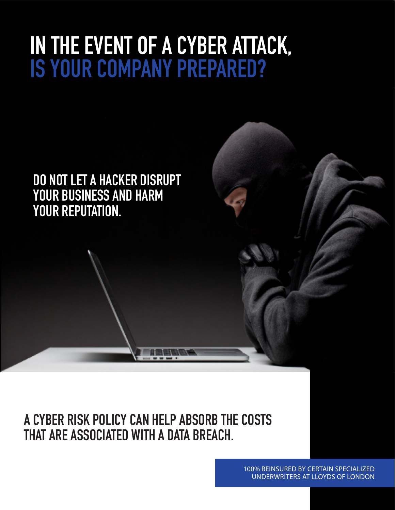# **IN THE EVENT OF A CYBER ATTACK, IS YOUR COMPANY PREPARED?**

**DO NOT LET A HACKER DISRUPT YOUR BUSINESS AND HARM YOUR REPUTATION.** 

**A CYBER RISK POLICY CAN HELP ABSORB THE COSTS THAT ARE ASSOCIATED WITH A DATA BREACH.**

> 100% REINSURED BY CERTAIN SPECIALIZED UNDERWRITERS AT LLOYDS OF LONDON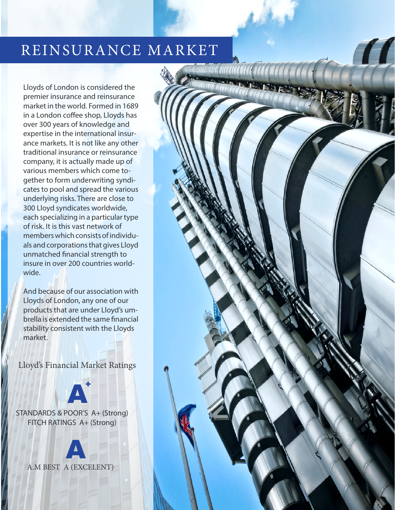### REINSURANCE MARKET

Lloyds of London is considered the premier insurance and reinsurance market in the world. Formed in 1689 in a London coffee shop, Lloyds has over 300 years of knowledge and expertise in the international insurance markets. It is not like any other traditional insurance or reinsurance company, it is actually made up of various members which come together to form underwriting syndicates to pool and spread the various underlying risks. There are close to 300 Lloyd syndicates worldwide, each specializing in a particular type of risk. It is this vast network of members which consists of individuals and corporations that gives Lloyd unmatched financial strength to insure in over 200 countries worldwide.

And because of our association with Lloyds of London, any one of our products that are under Lloyd's umbrella is extended the same financial stability consistent with the Lloyds market.

Lloyd's Financial Market Ratings